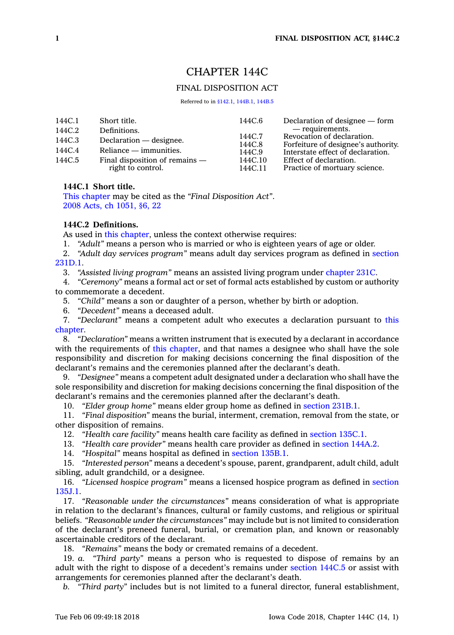# CHAPTER 144C

## FINAL DISPOSITION ACT

Referred to in [§142.1](https://www.legis.iowa.gov/docs/code/142.1.pdf), [144B.1,](https://www.legis.iowa.gov/docs/code/144B.1.pdf) [144B.5](https://www.legis.iowa.gov/docs/code/144B.5.pdf)

| 144C.6                                                                                                                                       | Declaration of designee — form                          |
|----------------------------------------------------------------------------------------------------------------------------------------------|---------------------------------------------------------|
|                                                                                                                                              | — requirements.<br>Revocation of declaration.           |
|                                                                                                                                              | Forfeiture of designee's authority.                     |
| 144C.9                                                                                                                                       | Interstate effect of declaration.                       |
| 144C.10<br>144C.11                                                                                                                           | Effect of declaration.<br>Practice of mortuary science. |
| Short title.<br>Definitions.<br>Declaration — designee.<br>$Reliance - immunities.$<br>Final disposition of remains $-$<br>right to control. | 144C.7<br>144C.8                                        |

## **144C.1 Short title.**

This [chapter](https://www.legis.iowa.gov/docs/code//144C.pdf) may be cited as the *"Final Disposition Act"*. 2008 Acts, ch [1051,](https://www.legis.iowa.gov/docs/acts/2008/CH1051.pdf) §6, 22

## **144C.2 Definitions.**

As used in this [chapter](https://www.legis.iowa.gov/docs/code//144C.pdf), unless the context otherwise requires:

1. *"Adult"* means <sup>a</sup> person who is married or who is eighteen years of age or older.

2. *"Adult day services program"* means adult day services program as defined in [section](https://www.legis.iowa.gov/docs/code/231D.1.pdf) [231D.1](https://www.legis.iowa.gov/docs/code/231D.1.pdf).

3. *"Assisted living program"* means an assisted living program under [chapter](https://www.legis.iowa.gov/docs/code//231C.pdf) 231C.

4. *"Ceremony"* means <sup>a</sup> formal act or set of formal acts established by custom or authority to commemorate <sup>a</sup> decedent.

5. *"Child"* means <sup>a</sup> son or daughter of <sup>a</sup> person, whether by birth or adoption.

6. *"Decedent"* means <sup>a</sup> deceased adult.

7. *"Declarant"* means <sup>a</sup> competent adult who executes <sup>a</sup> declaration pursuant to [this](https://www.legis.iowa.gov/docs/code//144C.pdf) [chapter](https://www.legis.iowa.gov/docs/code//144C.pdf).

8. *"Declaration"* means <sup>a</sup> written instrument that is executed by <sup>a</sup> declarant in accordance with the requirements of this [chapter](https://www.legis.iowa.gov/docs/code//144C.pdf), and that names a designee who shall have the sole responsibility and discretion for making decisions concerning the final disposition of the declarant's remains and the ceremonies planned after the declarant's death.

9. *"Designee"* means <sup>a</sup> competent adult designated under <sup>a</sup> declaration who shall have the sole responsibility and discretion for making decisions concerning the final disposition of the declarant's remains and the ceremonies planned after the declarant's death.

10. *"Elder group home"* means elder group home as defined in [section](https://www.legis.iowa.gov/docs/code/231B.1.pdf) 231B.1.

11. *"Final disposition"* means the burial, interment, cremation, removal from the state, or other disposition of remains.

12. *"Health care facility"* means health care facility as defined in [section](https://www.legis.iowa.gov/docs/code/135C.1.pdf) 135C.1.

13. *"Health care provider"* means health care provider as defined in [section](https://www.legis.iowa.gov/docs/code/144A.2.pdf) 144A.2.

14. *"Hospital"* means hospital as defined in [section](https://www.legis.iowa.gov/docs/code/135B.1.pdf) 135B.1.

15. *"Interested person"* means <sup>a</sup> decedent's spouse, parent, grandparent, adult child, adult sibling, adult grandchild, or <sup>a</sup> designee.

16. *"Licensed hospice program"* means <sup>a</sup> licensed hospice program as defined in [section](https://www.legis.iowa.gov/docs/code/135J.1.pdf) [135J.1](https://www.legis.iowa.gov/docs/code/135J.1.pdf).

17. *"Reasonable under the circumstances"* means consideration of what is appropriate in relation to the declarant's finances, cultural or family customs, and religious or spiritual beliefs. *"Reasonable under the circumstances"* may include but is not limited to consideration of the declarant's preneed funeral, burial, or cremation plan, and known or reasonably ascertainable creditors of the declarant.

18. *"Remains"* means the body or cremated remains of <sup>a</sup> decedent.

19. *a. "Third party"* means <sup>a</sup> person who is requested to dispose of remains by an adult with the right to dispose of <sup>a</sup> decedent's remains under [section](https://www.legis.iowa.gov/docs/code/144C.5.pdf) 144C.5 or assist with arrangements for ceremonies planned after the declarant's death.

*b. "Third party"* includes but is not limited to <sup>a</sup> funeral director, funeral establishment,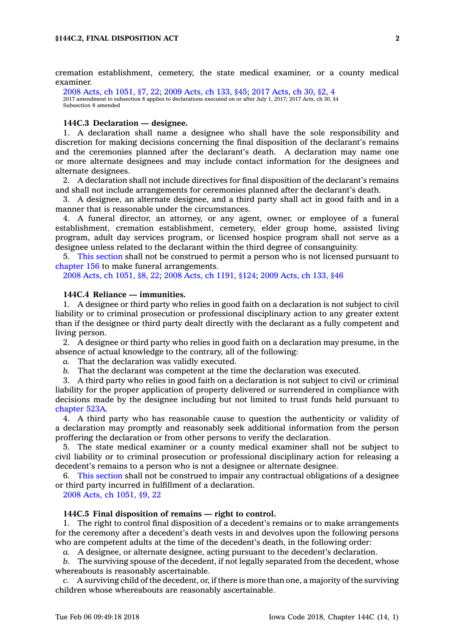cremation establishment, cemetery, the state medical examiner, or <sup>a</sup> county medical examiner.

2008 Acts, ch [1051,](https://www.legis.iowa.gov/docs/acts/2008/CH1051.pdf) §7, 22; 2009 [Acts,](https://www.legis.iowa.gov/docs/acts/2009/CH0133.pdf) ch 133, §45; 2017 [Acts,](https://www.legis.iowa.gov/docs/acts/2017/CH0030.pdf) ch 30, §2, 4 2017 amendment to subsection 8 applies to declarations executed on or after July 1, 2017; 2017 Acts, ch 30, §4 Subsection 8 amended

#### **144C.3 Declaration — designee.**

1. A declaration shall name <sup>a</sup> designee who shall have the sole responsibility and discretion for making decisions concerning the final disposition of the declarant's remains and the ceremonies planned after the declarant's death. A declaration may name one or more alternate designees and may include contact information for the designees and alternate designees.

2. A declaration shall not include directives for final disposition of the declarant's remains and shall not include arrangements for ceremonies planned after the declarant's death.

3. A designee, an alternate designee, and <sup>a</sup> third party shall act in good faith and in <sup>a</sup> manner that is reasonable under the circumstances.

4. A funeral director, an attorney, or any agent, owner, or employee of <sup>a</sup> funeral establishment, cremation establishment, cemetery, elder group home, assisted living program, adult day services program, or licensed hospice program shall not serve as <sup>a</sup> designee unless related to the declarant within the third degree of consanguinity.

5. This [section](https://www.legis.iowa.gov/docs/code/144C.3.pdf) shall not be construed to permit <sup>a</sup> person who is not licensed pursuant to [chapter](https://www.legis.iowa.gov/docs/code//156.pdf) 156 to make funeral arrangements.

2008 Acts, ch [1051,](https://www.legis.iowa.gov/docs/acts/2008/CH1051.pdf) §8, 22; 2008 Acts, ch [1191,](https://www.legis.iowa.gov/docs/acts/2008/CH1191.pdf) §124; 2009 [Acts,](https://www.legis.iowa.gov/docs/acts/2009/CH0133.pdf) ch 133, §46

## **144C.4 Reliance — immunities.**

1. A designee or third party who relies in good faith on <sup>a</sup> declaration is not subject to civil liability or to criminal prosecution or professional disciplinary action to any greater extent than if the designee or third party dealt directly with the declarant as <sup>a</sup> fully competent and living person.

2. A designee or third party who relies in good faith on <sup>a</sup> declaration may presume, in the absence of actual knowledge to the contrary, all of the following:

*a.* That the declaration was validly executed.

*b.* That the declarant was competent at the time the declaration was executed.

3. A third party who relies in good faith on <sup>a</sup> declaration is not subject to civil or criminal liability for the proper application of property delivered or surrendered in compliance with decisions made by the designee including but not limited to trust funds held pursuant to [chapter](https://www.legis.iowa.gov/docs/code//523A.pdf) 523A.

4. A third party who has reasonable cause to question the authenticity or validity of <sup>a</sup> declaration may promptly and reasonably seek additional information from the person proffering the declaration or from other persons to verify the declaration.

5. The state medical examiner or <sup>a</sup> county medical examiner shall not be subject to civil liability or to criminal prosecution or professional disciplinary action for releasing <sup>a</sup> decedent's remains to <sup>a</sup> person who is not <sup>a</sup> designee or alternate designee.

6. This [section](https://www.legis.iowa.gov/docs/code/144C.4.pdf) shall not be construed to impair any contractual obligations of <sup>a</sup> designee or third party incurred in fulfillment of <sup>a</sup> declaration.

2008 Acts, ch [1051,](https://www.legis.iowa.gov/docs/acts/2008/CH1051.pdf) §9, 22

#### **144C.5 Final disposition of remains — right to control.**

1. The right to control final disposition of <sup>a</sup> decedent's remains or to make arrangements for the ceremony after <sup>a</sup> decedent's death vests in and devolves upon the following persons who are competent adults at the time of the decedent's death, in the following order:

*a.* A designee, or alternate designee, acting pursuant to the decedent's declaration.

*b.* The surviving spouse of the decedent, if not legally separated from the decedent, whose whereabouts is reasonably ascertainable.

*c.* A surviving child of the decedent, or, if there is more than one, <sup>a</sup> majority of the surviving children whose whereabouts are reasonably ascertainable.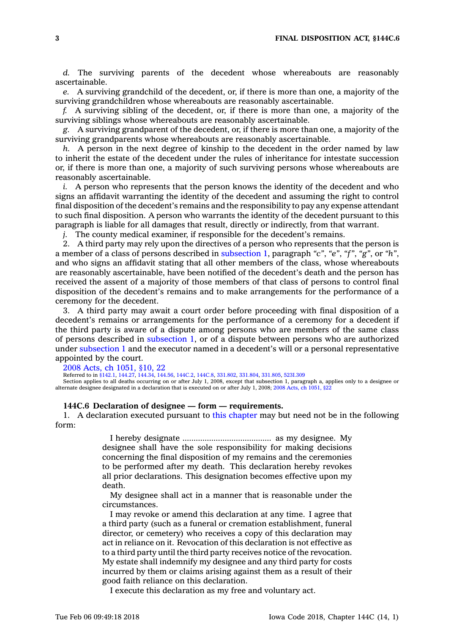*d.* The surviving parents of the decedent whose whereabouts are reasonably ascertainable.

*e.* A surviving grandchild of the decedent, or, if there is more than one, <sup>a</sup> majority of the surviving grandchildren whose whereabouts are reasonably ascertainable.

*f.* A surviving sibling of the decedent, or, if there is more than one, <sup>a</sup> majority of the surviving siblings whose whereabouts are reasonably ascertainable.

*g.* A surviving grandparent of the decedent, or, if there is more than one, <sup>a</sup> majority of the surviving grandparents whose whereabouts are reasonably ascertainable.

*h.* A person in the next degree of kinship to the decedent in the order named by law to inherit the estate of the decedent under the rules of inheritance for intestate succession or, if there is more than one, <sup>a</sup> majority of such surviving persons whose whereabouts are reasonably ascertainable.

*i.* A person who represents that the person knows the identity of the decedent and who signs an affidavit warranting the identity of the decedent and assuming the right to control final disposition of the decedent's remains and the responsibility to pay any expense attendant to such final disposition. A person who warrants the identity of the decedent pursuant to this paragraph is liable for all damages that result, directly or indirectly, from that warrant.

*j.* The county medical examiner, if responsible for the decedent's remains.

2. A third party may rely upon the directives of <sup>a</sup> person who represents that the person is <sup>a</sup> member of <sup>a</sup> class of persons described in [subsection](https://www.legis.iowa.gov/docs/code/144C.5.pdf) 1, paragraph *"c"*, *"e"*, *"f"*, *"g"*, or *"h"*, and who signs an affidavit stating that all other members of the class, whose whereabouts are reasonably ascertainable, have been notified of the decedent's death and the person has received the assent of <sup>a</sup> majority of those members of that class of persons to control final disposition of the decedent's remains and to make arrangements for the performance of <sup>a</sup> ceremony for the decedent.

3. A third party may await <sup>a</sup> court order before proceeding with final disposition of <sup>a</sup> decedent's remains or arrangements for the performance of <sup>a</sup> ceremony for <sup>a</sup> decedent if the third party is aware of <sup>a</sup> dispute among persons who are members of the same class of persons described in [subsection](https://www.legis.iowa.gov/docs/code/144C.5.pdf) 1, or of <sup>a</sup> dispute between persons who are authorized under [subsection](https://www.legis.iowa.gov/docs/code/144C.5.pdf) 1 and the executor named in <sup>a</sup> decedent's will or <sup>a</sup> personal representative appointed by the court.

2008 Acts, ch [1051,](https://www.legis.iowa.gov/docs/acts/2008/CH1051.pdf) §10, 22

Referred to in [§142.1](https://www.legis.iowa.gov/docs/code/142.1.pdf), [144.27](https://www.legis.iowa.gov/docs/code/144.27.pdf), [144.34](https://www.legis.iowa.gov/docs/code/144.34.pdf), [144.56](https://www.legis.iowa.gov/docs/code/144.56.pdf), [144C.2](https://www.legis.iowa.gov/docs/code/144C.2.pdf), [144C.8](https://www.legis.iowa.gov/docs/code/144C.8.pdf), [331.802](https://www.legis.iowa.gov/docs/code/331.802.pdf), [331.804](https://www.legis.iowa.gov/docs/code/331.804.pdf), [331.805](https://www.legis.iowa.gov/docs/code/331.805.pdf), [523I.309](https://www.legis.iowa.gov/docs/code/523I.309.pdf)

Section applies to all deaths occurring on or after July 1, 2008, except that subsection 1, paragraph a, applies only to <sup>a</sup> designee or alternate designee designated in <sup>a</sup> declaration that is executed on or after July 1, 2008; 2008 Acts, ch [1051,](https://www.legis.iowa.gov/docs/acts/2008/CH1051.pdf) §22

#### **144C.6 Declaration of designee — form — requirements.**

1. A declaration executed pursuant to this [chapter](https://www.legis.iowa.gov/docs/code//144C.pdf) may but need not be in the following form:

> I hereby designate ........................................ as my designee. My designee shall have the sole responsibility for making decisions concerning the final disposition of my remains and the ceremonies to be performed after my death. This declaration hereby revokes all prior declarations. This designation becomes effective upon my death.

> My designee shall act in <sup>a</sup> manner that is reasonable under the circumstances.

> I may revoke or amend this declaration at any time. I agree that <sup>a</sup> third party (such as <sup>a</sup> funeral or cremation establishment, funeral director, or cemetery) who receives <sup>a</sup> copy of this declaration may act in reliance on it. Revocation of this declaration is not effective as to <sup>a</sup> third party until the third party receives notice of the revocation. My estate shall indemnify my designee and any third party for costs incurred by them or claims arising against them as <sup>a</sup> result of their good faith reliance on this declaration.

I execute this declaration as my free and voluntary act.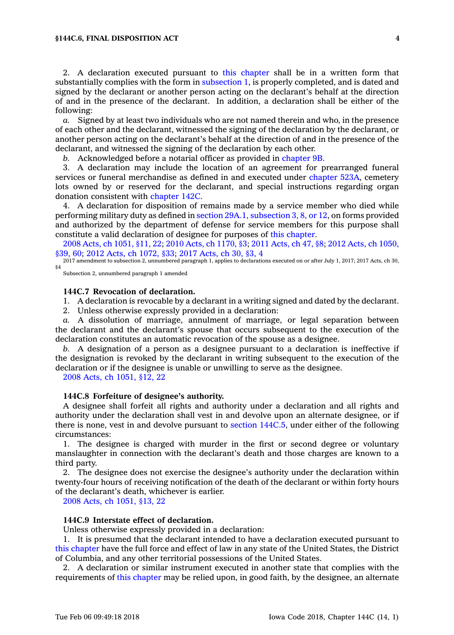#### **§144C.6, FINAL DISPOSITION ACT 4**

2. A declaration executed pursuant to this [chapter](https://www.legis.iowa.gov/docs/code//144C.pdf) shall be in <sup>a</sup> written form that substantially complies with the form in [subsection](https://www.legis.iowa.gov/docs/code/144C.6.pdf) 1, is properly completed, and is dated and signed by the declarant or another person acting on the declarant's behalf at the direction of and in the presence of the declarant. In addition, <sup>a</sup> declaration shall be either of the following:

*a.* Signed by at least two individuals who are not named therein and who, in the presence of each other and the declarant, witnessed the signing of the declaration by the declarant, or another person acting on the declarant's behalf at the direction of and in the presence of the declarant, and witnessed the signing of the declaration by each other.

*b.* Acknowledged before <sup>a</sup> notarial officer as provided in [chapter](https://www.legis.iowa.gov/docs/code//9B.pdf) 9B.

3. A declaration may include the location of an agreement for prearranged funeral services or funeral merchandise as defined in and executed under [chapter](https://www.legis.iowa.gov/docs/code//523A.pdf) 523A, cemetery lots owned by or reserved for the declarant, and special instructions regarding organ donation consistent with [chapter](https://www.legis.iowa.gov/docs/code//142C.pdf) 142C.

4. A declaration for disposition of remains made by <sup>a</sup> service member who died while performing military duty as defined in section 29A.1, [subsection](https://www.legis.iowa.gov/docs/code/29A.1.pdf) 3, 8, or 12, on forms provided and authorized by the department of defense for service members for this purpose shall constitute <sup>a</sup> valid declaration of designee for purposes of this [chapter](https://www.legis.iowa.gov/docs/code//144C.pdf).

2008 Acts, ch [1051,](https://www.legis.iowa.gov/docs/acts/2008/CH1051.pdf) §11, 22; 2010 Acts, ch [1170,](https://www.legis.iowa.gov/docs/acts/2010/CH1170.pdf) §3; 2011 [Acts,](https://www.legis.iowa.gov/docs/acts/2011/CH0047.pdf) ch 47, §8; 2012 Acts, ch [1050,](https://www.legis.iowa.gov/docs/acts/2012/CH1050.pdf) [§39,](https://www.legis.iowa.gov/docs/acts/2012/CH1050.pdf) 60; 2012 Acts, ch [1072,](https://www.legis.iowa.gov/docs/acts/2012/CH1072.pdf) §33; 2017 [Acts,](https://www.legis.iowa.gov/docs/acts/2017/CH0030.pdf) ch 30, §3, 4

2017 amendment to subsection 2, unnumbered paragraph 1, applies to declarations executed on or after July 1, 2017; 2017 Acts, ch 30, §4

Subsection 2, unnumbered paragraph 1 amended

### **144C.7 Revocation of declaration.**

1. A declaration is revocable by <sup>a</sup> declarant in <sup>a</sup> writing signed and dated by the declarant.

2. Unless otherwise expressly provided in <sup>a</sup> declaration:

*a.* A dissolution of marriage, annulment of marriage, or legal separation between the declarant and the declarant's spouse that occurs subsequent to the execution of the declaration constitutes an automatic revocation of the spouse as <sup>a</sup> designee.

*b.* A designation of <sup>a</sup> person as <sup>a</sup> designee pursuant to <sup>a</sup> declaration is ineffective if the designation is revoked by the declarant in writing subsequent to the execution of the declaration or if the designee is unable or unwilling to serve as the designee.

2008 Acts, ch [1051,](https://www.legis.iowa.gov/docs/acts/2008/CH1051.pdf) §12, 22

### **144C.8 Forfeiture of designee's authority.**

A designee shall forfeit all rights and authority under <sup>a</sup> declaration and all rights and authority under the declaration shall vest in and devolve upon an alternate designee, or if there is none, vest in and devolve pursuant to section [144C.5](https://www.legis.iowa.gov/docs/code/144C.5.pdf), under either of the following circumstances:

1. The designee is charged with murder in the first or second degree or voluntary manslaughter in connection with the declarant's death and those charges are known to <sup>a</sup> third party.

2. The designee does not exercise the designee's authority under the declaration within twenty-four hours of receiving notification of the death of the declarant or within forty hours of the declarant's death, whichever is earlier.

2008 Acts, ch [1051,](https://www.legis.iowa.gov/docs/acts/2008/CH1051.pdf) §13, 22

#### **144C.9 Interstate effect of declaration.**

Unless otherwise expressly provided in <sup>a</sup> declaration:

1. It is presumed that the declarant intended to have <sup>a</sup> declaration executed pursuant to this [chapter](https://www.legis.iowa.gov/docs/code//144C.pdf) have the full force and effect of law in any state of the United States, the District of Columbia, and any other territorial possessions of the United States.

2. A declaration or similar instrument executed in another state that complies with the requirements of this [chapter](https://www.legis.iowa.gov/docs/code//144C.pdf) may be relied upon, in good faith, by the designee, an alternate